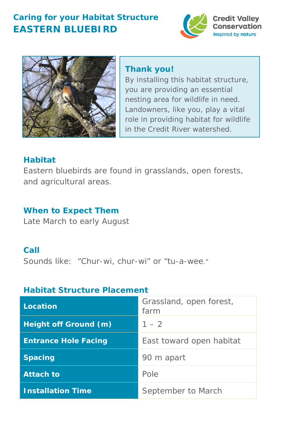# **Caring for your Habitat Structure EASTERN BLUEBIRD**





## **Thank you!**

By installing this habitat structure, you are providing an essential nesting area for wildlife in need. Landowners, like you, play a vital role in providing habitat for wildlife in the Credit River watershed.

## **Habitat**

Eastern bluebirds are found in grasslands, open forests, and agricultural areas.

## **When to Expect Them**

Late March to early August

### **Call**

Sounds like*: "Chur-wi, chur-wi"* or "*tu-a-wee."*

#### **Habitat Structure Placement**

| Location                    | Grassland, open forest,<br>farm |
|-----------------------------|---------------------------------|
| Height off Ground (m)       | $1 - 2$                         |
| <b>Entrance Hole Facing</b> | East toward open habitat        |
| <b>Spacing</b>              | 90 m apart                      |
| <b>Attach to</b>            | Pole                            |
| <b>Installation Time</b>    | September to March              |